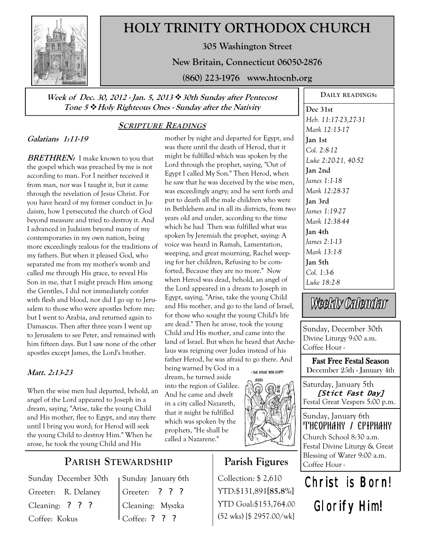

# **HOLY TRINITY ORTHODOX CHURCH**

**305 Washington Street** 

**New Britain, Connecticut 06050-2876** 

**(860) 223-1976 www.htocnb.org** 

**Week of Dec. 30, 2012 - Jan. 5, 2013 30th Sunday after Pentecost Tone 5 Holy Righteous Ones - Sunday after the Nativity** 

# **SCRIPTURE READINGS**

## **Galatians 1:11-19**

**BRETHREN:** I make known to you that the gospel which was preached by me is not according to man. For I neither received it from man, nor was I taught it, but it came through the revelation of Jesus Christ. For you have heard of my former conduct in Judaism, how I persecuted the church of God beyond measure and tried to destroy it. And I advanced in Judaism beyond many of my contemporaries in my own nation, being more exceedingly zealous for the traditions of my fathers. But when it pleased God, who separated me from my mother's womb and called me through His grace, to reveal His Son in me, that I might preach Him among the Gentiles, I did not immediately confer with flesh and blood, nor did I go up to Jerusalem to those who were apostles before me; but I went to Arabia, and returned again to Damascus. Then after three years I went up to Jerusalem to see Peter, and remained with him fifteen days. But I saw none of the other apostles except James, the Lord's brother.

# **Matt. 2:13-23**

*W*hen the wise men had departed, behold, an angel of the Lord appeared to Joseph in a dream, saying, "Arise, take the young Child and His mother, flee to Egypt, and stay there until I bring you word; for Herod will seek the young Child to destroy Him." When he arose, he took the young Child and His

**PARISH STEWARDSHIP**

Sunday December 30th Greeter: R. Delaney Cleaning: ? ? ? Coffee: Kokus

Sunday January 6th Greeter: ? ? ? Cleaning: Myszka Coffee: ? ? ?

was there until the death of Herod, that it might be fulfilled which was spoken by the Lord through the prophet, saying, "Out of Egypt I called My Son." Then Herod, when he saw that he was deceived by the wise men, was exceedingly angry; and he sent forth and put to death all the male children who were in Bethlehem and in all its districts, from two years old and under, according to the time which he had Then was fulfilled what was spoken by Jeremiah the prophet, saying: A voice was heard in Ramah, Lamentation, weeping, and great mourning, Rachel weeping for her children, Refusing to be comforted, Because they are no more." Now when Herod was dead, behold, an angel of the Lord appeared in a dream to Joseph in Egypt, saying, "Arise, take the young Child and His mother, and go to the land of Israel, for those who sought the young Child's life are dead." Then he arose, took the young Child and His mother, and came into the land of Israel. But when he heard that Archelaus was reigning over Judea instead of his father Herod, he was afraid to go there. And being warned by God in a : THE FLIGHT INTO EGYPT:

mother by night and departed for Egypt, and

dream, he turned aside into the region of Galilee. And he came and dwelt in a city called Nazareth, that it might be fulfilled which was spoken by the prophets, "He shall be called a Nazarene."



# **Parish Figures**

Collection: \$ 2,610 YTD:\$131,891**[85.8%]** YTD Goal:\$153,764.00 (52 wks) [\$ 2957.00/wk]

**Dec 31st**  *Heb. 11:17-23,27-31 Mark 12:13-17*  **Jan 1st**  *Col. 2:8-12 Luke 2:20-21, 40-52*  **Jan 2nd**  *James 1:1-18 Mark 12:28-37*  **Jan 3rd**  *James 1:19-27 Mark 12:38-44*  **Jan 4th**  *James 2:1-13 Mark 13:1-8*  **Jan 5th**  *Col. 1:3-6 Luke 18:2-8* 

**DAILY READINGS:** 

Weekly Calendar

Sunday, December 30th Divine Liturgy 9:00 a.m. Coffee Hour -

**Fast Free Festal Season** December 25th - January 4th

Saturday, January 5th **[Stict Fast Day]**  Festal Great Vespers 5:00 p.m.

Sunday, January 6th THEOPHANY / EPIPHANY Church School 8:30 a.m. Festal Divine Liturgy & Great Blessing of Water 9:00 a.m. Coffee Hour -

# Christ is Born! Glorify Him!